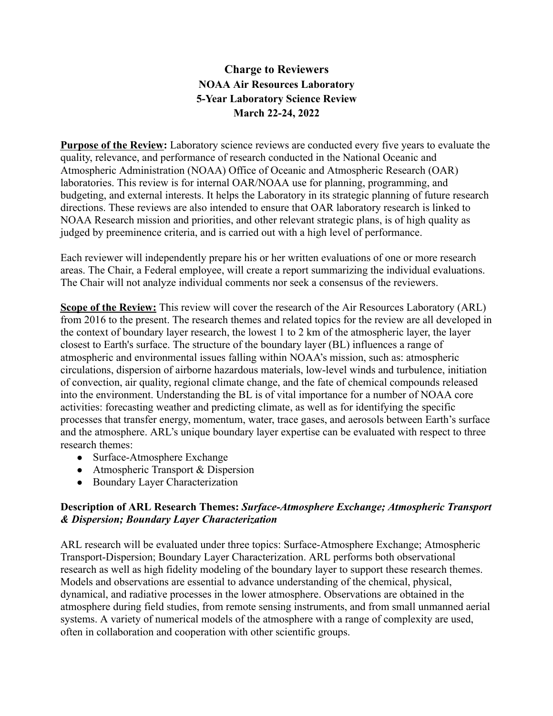# **Charge to Reviewers NOAA Air Resources Laboratory 5-Year Laboratory Science Review March 22-24, 2022**

**Purpose of the Review:** Laboratory science reviews are conducted every five years to evaluate the quality, relevance, and performance of research conducted in the National Oceanic and Atmospheric Administration (NOAA) Office of Oceanic and Atmospheric Research (OAR) laboratories. This review is for internal OAR/NOAA use for planning, programming, and budgeting, and external interests. It helps the Laboratory in its strategic planning of future research directions. These reviews are also intended to ensure that OAR laboratory research is linked to NOAA Research mission and priorities, and other relevant strategic plans, is of high quality as judged by preeminence criteria, and is carried out with a high level of performance.

Each reviewer will independently prepare his or her written evaluations of one or more research areas. The Chair, a Federal employee, will create a report summarizing the individual evaluations. The Chair will not analyze individual comments nor seek a consensus of the reviewers.

**Scope of the Review:** This review will cover the research of the Air Resources Laboratory (ARL) from 2016 to the present. The research themes and related topics for the review are all developed in the context of boundary layer research, the lowest 1 to 2 km of the atmospheric layer, the layer closest to Earth's surface. The structure of the boundary layer (BL) influences a range of atmospheric and environmental issues falling within NOAA's mission, such as: atmospheric circulations, dispersion of airborne hazardous materials, low-level winds and turbulence, initiation of convection, air quality, regional climate change, and the fate of chemical compounds released into the environment. Understanding the BL is of vital importance for a number of NOAA core activities: forecasting weather and predicting climate, as well as for identifying the specific processes that transfer energy, momentum, water, trace gases, and aerosols between Earth's surface and the atmosphere. ARL's unique boundary layer expertise can be evaluated with respect to three research themes:

- Surface-Atmosphere Exchange
- Atmospheric Transport & Dispersion
- Boundary Layer Characterization

## **Description of ARL Research Themes:** *Surface-Atmosphere Exchange; Atmospheric Transport & Dispersion; Boundary Layer Characterization*

ARL research will be evaluated under three topics: Surface-Atmosphere Exchange; Atmospheric Transport-Dispersion; Boundary Layer Characterization. ARL performs both observational research as well as high fidelity modeling of the boundary layer to support these research themes. Models and observations are essential to advance understanding of the chemical, physical, dynamical, and radiative processes in the lower atmosphere. Observations are obtained in the atmosphere during field studies, from remote sensing instruments, and from small unmanned aerial systems. A variety of numerical models of the atmosphere with a range of complexity are used, often in collaboration and cooperation with other scientific groups.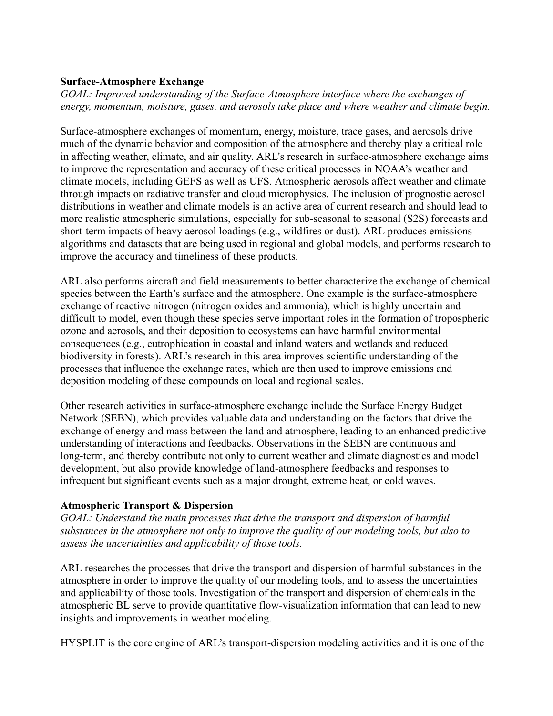### **Surface-Atmosphere Exchange**

*GOAL: Improved understanding of the Surface-Atmosphere interface where the exchanges of energy, momentum, moisture, gases, and aerosols take place and where weather and climate begin.*

Surface-atmosphere exchanges of momentum, energy, moisture, trace gases, and aerosols drive much of the dynamic behavior and composition of the atmosphere and thereby play a critical role in affecting weather, climate, and air quality. ARL's research in surface-atmosphere exchange aims to improve the representation and accuracy of these critical processes in NOAA's weather and climate models, including GEFS as well as UFS. Atmospheric aerosols affect weather and climate through impacts on radiative transfer and cloud microphysics. The inclusion of prognostic aerosol distributions in weather and climate models is an active area of current research and should lead to more realistic atmospheric simulations, especially for sub-seasonal to seasonal (S2S) forecasts and short-term impacts of heavy aerosol loadings (e.g., wildfires or dust). ARL produces emissions algorithms and datasets that are being used in regional and global models, and performs research to improve the accuracy and timeliness of these products.

ARL also performs aircraft and field measurements to better characterize the exchange of chemical species between the Earth's surface and the atmosphere. One example is the surface-atmosphere exchange of reactive nitrogen (nitrogen oxides and ammonia), which is highly uncertain and difficult to model, even though these species serve important roles in the formation of tropospheric ozone and aerosols, and their deposition to ecosystems can have harmful environmental consequences (e.g., eutrophication in coastal and inland waters and wetlands and reduced biodiversity in forests). ARL's research in this area improves scientific understanding of the processes that influence the exchange rates, which are then used to improve emissions and deposition modeling of these compounds on local and regional scales.

Other research activities in surface-atmosphere exchange include the Surface Energy Budget Network (SEBN), which provides valuable data and understanding on the factors that drive the exchange of energy and mass between the land and atmosphere, leading to an enhanced predictive understanding of interactions and feedbacks. Observations in the SEBN are continuous and long-term, and thereby contribute not only to current weather and climate diagnostics and model development, but also provide knowledge of land-atmosphere feedbacks and responses to infrequent but significant events such as a major drought, extreme heat, or cold waves.

## **Atmospheric Transport & Dispersion**

*GOAL: Understand the main processes that drive the transport and dispersion of harmful substances in the atmosphere not only to improve the quality of our modeling tools, but also to assess the uncertainties and applicability of those tools.*

ARL researches the processes that drive the transport and dispersion of harmful substances in the atmosphere in order to improve the quality of our modeling tools, and to assess the uncertainties and applicability of those tools. Investigation of the transport and dispersion of chemicals in the atmospheric BL serve to provide quantitative flow-visualization information that can lead to new insights and improvements in weather modeling.

HYSPLIT is the core engine of ARL's transport-dispersion modeling activities and it is one of the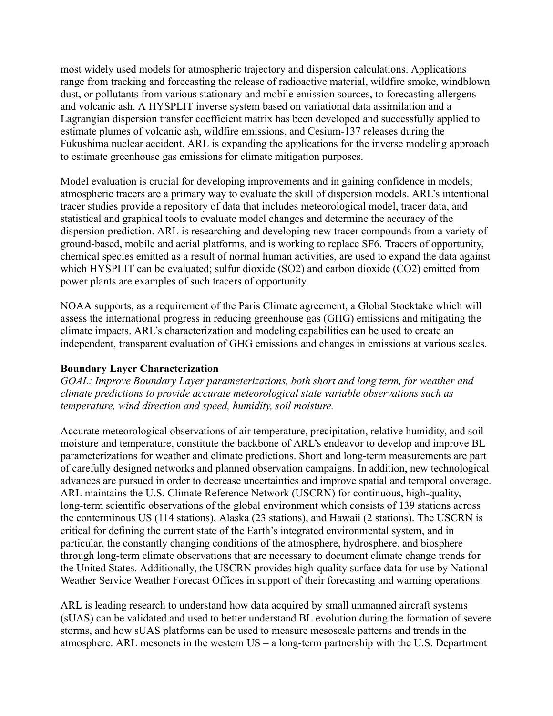most widely used models for atmospheric trajectory and dispersion calculations. Applications range from tracking and forecasting the release of radioactive material, wildfire smoke, windblown dust, or pollutants from various stationary and mobile emission sources, to forecasting allergens and volcanic ash. A HYSPLIT inverse system based on variational data assimilation and a Lagrangian dispersion transfer coefficient matrix has been developed and successfully applied to estimate plumes of volcanic ash, wildfire emissions, and Cesium-137 releases during the Fukushima nuclear accident. ARL is expanding the applications for the inverse modeling approach to estimate greenhouse gas emissions for climate mitigation purposes.

Model evaluation is crucial for developing improvements and in gaining confidence in models; atmospheric tracers are a primary way to evaluate the skill of dispersion models. ARL's intentional tracer studies provide a repository of data that includes meteorological model, tracer data, and statistical and graphical tools to evaluate model changes and determine the accuracy of the dispersion prediction. ARL is researching and developing new tracer compounds from a variety of ground-based, mobile and aerial platforms, and is working to replace SF6. Tracers of opportunity, chemical species emitted as a result of normal human activities, are used to expand the data against which HYSPLIT can be evaluated; sulfur dioxide (SO2) and carbon dioxide (CO2) emitted from power plants are examples of such tracers of opportunity.

NOAA supports, as a requirement of the Paris Climate agreement, a Global Stocktake which will assess the international progress in reducing greenhouse gas (GHG) emissions and mitigating the climate impacts. ARL's characterization and modeling capabilities can be used to create an independent, transparent evaluation of GHG emissions and changes in emissions at various scales.

#### **Boundary Layer Characterization**

*GOAL: Improve Boundary Layer parameterizations, both short and long term, for weather and climate predictions to provide accurate meteorological state variable observations such as temperature, wind direction and speed, humidity, soil moisture.*

Accurate meteorological observations of air temperature, precipitation, relative humidity, and soil moisture and temperature, constitute the backbone of ARL's endeavor to develop and improve BL parameterizations for weather and climate predictions. Short and long-term measurements are part of carefully designed networks and planned observation campaigns. In addition, new technological advances are pursued in order to decrease uncertainties and improve spatial and temporal coverage. ARL maintains the U.S. Climate Reference Network (USCRN) for continuous, high-quality, long-term scientific observations of the global environment which consists of 139 stations across the conterminous US (114 stations), Alaska (23 stations), and Hawaii (2 stations). The USCRN is critical for defining the current state of the Earth's integrated environmental system, and in particular, the constantly changing conditions of the atmosphere, hydrosphere, and biosphere through long-term climate observations that are necessary to document climate change trends for the United States. Additionally, the USCRN provides high-quality surface data for use by National Weather Service Weather Forecast Offices in support of their forecasting and warning operations.

ARL is leading research to understand how data acquired by small unmanned aircraft systems (sUAS) can be validated and used to better understand BL evolution during the formation of severe storms, and how sUAS platforms can be used to measure mesoscale patterns and trends in the atmosphere. ARL mesonets in the western US – a long-term partnership with the U.S. Department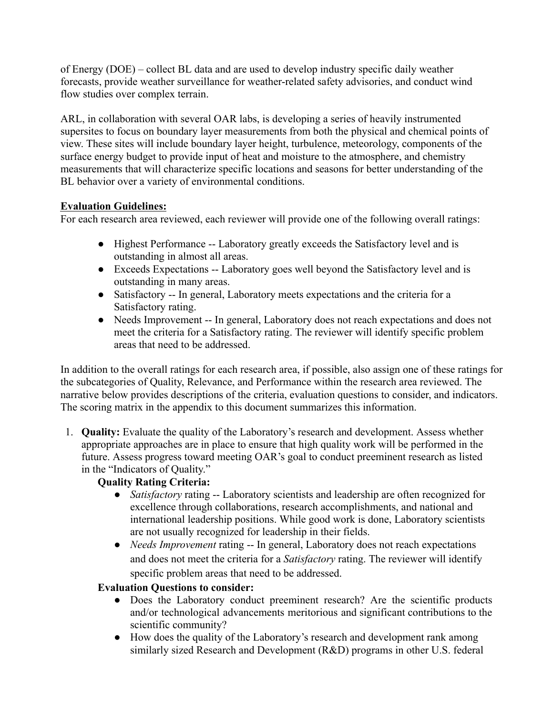of Energy (DOE) – collect BL data and are used to develop industry specific daily weather forecasts, provide weather surveillance for weather-related safety advisories, and conduct wind flow studies over complex terrain.

ARL, in collaboration with several OAR labs, is developing a series of heavily instrumented supersites to focus on boundary layer measurements from both the physical and chemical points of view. These sites will include boundary layer height, turbulence, meteorology, components of the surface energy budget to provide input of heat and moisture to the atmosphere, and chemistry measurements that will characterize specific locations and seasons for better understanding of the BL behavior over a variety of environmental conditions.

# **Evaluation Guidelines:**

For each research area reviewed, each reviewer will provide one of the following overall ratings:

- Highest Performance -- Laboratory greatly exceeds the Satisfactory level and is outstanding in almost all areas.
- Exceeds Expectations -- Laboratory goes well beyond the Satisfactory level and is outstanding in many areas.
- Satisfactory -- In general, Laboratory meets expectations and the criteria for a Satisfactory rating.
- Needs Improvement -- In general, Laboratory does not reach expectations and does not meet the criteria for a Satisfactory rating. The reviewer will identify specific problem areas that need to be addressed.

In addition to the overall ratings for each research area, if possible, also assign one of these ratings for the subcategories of Quality, Relevance, and Performance within the research area reviewed. The narrative below provides descriptions of the criteria, evaluation questions to consider, and indicators. The scoring matrix in the appendix to this document summarizes this information.

1. **Quality:** Evaluate the quality of the Laboratory's research and development. Assess whether appropriate approaches are in place to ensure that high quality work will be performed in the future. Assess progress toward meeting OAR's goal to conduct preeminent research as listed in the "Indicators of Quality."

# **Quality Rating Criteria:**

- *Satisfactory* rating -- Laboratory scientists and leadership are often recognized for excellence through collaborations, research accomplishments, and national and international leadership positions. While good work is done, Laboratory scientists are not usually recognized for leadership in their fields.
- *Needs Improvement* rating -- In general, Laboratory does not reach expectations and does not meet the criteria for a *Satisfactory* rating. The reviewer will identify specific problem areas that need to be addressed.

# **Evaluation Questions to consider:**

- Does the Laboratory conduct preeminent research? Are the scientific products and/or technological advancements meritorious and significant contributions to the scientific community?
- How does the quality of the Laboratory's research and development rank among similarly sized Research and Development (R&D) programs in other U.S. federal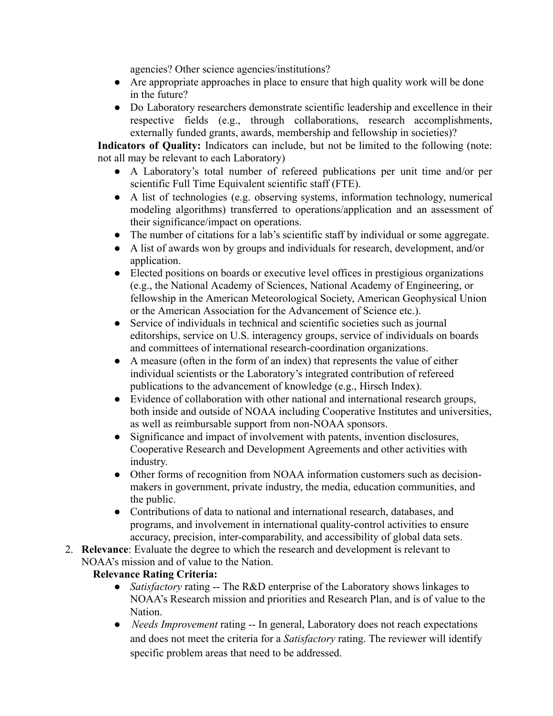agencies? Other science agencies/institutions?

- Are appropriate approaches in place to ensure that high quality work will be done in the future?
- Do Laboratory researchers demonstrate scientific leadership and excellence in their respective fields (e.g., through collaborations, research accomplishments, externally funded grants, awards, membership and fellowship in societies)?

**Indicators of Quality:** Indicators can include, but not be limited to the following (note: not all may be relevant to each Laboratory)

- A Laboratory's total number of refereed publications per unit time and/or per scientific Full Time Equivalent scientific staff (FTE).
- A list of technologies (e.g. observing systems, information technology, numerical modeling algorithms) transferred to operations/application and an assessment of their significance/impact on operations.
- The number of citations for a lab's scientific staff by individual or some aggregate.
- A list of awards won by groups and individuals for research, development, and/or application.
- Elected positions on boards or executive level offices in prestigious organizations (e.g., the National Academy of Sciences, National Academy of Engineering, or fellowship in the American Meteorological Society, American Geophysical Union or the American Association for the Advancement of Science etc.).
- Service of individuals in technical and scientific societies such as journal editorships, service on U.S. interagency groups, service of individuals on boards and committees of international research-coordination organizations.
- A measure (often in the form of an index) that represents the value of either individual scientists or the Laboratory's integrated contribution of refereed publications to the advancement of knowledge (e.g., Hirsch Index).
- Evidence of collaboration with other national and international research groups, both inside and outside of NOAA including Cooperative Institutes and universities, as well as reimbursable support from non-NOAA sponsors.
- Significance and impact of involvement with patents, invention disclosures, Cooperative Research and Development Agreements and other activities with industry.
- Other forms of recognition from NOAA information customers such as decisionmakers in government, private industry, the media, education communities, and the public.
- Contributions of data to national and international research, databases, and programs, and involvement in international quality-control activities to ensure accuracy, precision, inter-comparability, and accessibility of global data sets.
- 2. **Relevance**: Evaluate the degree to which the research and development is relevant to NOAA's mission and of value to the Nation.

# **Relevance Rating Criteria:**

- *Satisfactory* rating -- The R&D enterprise of the Laboratory shows linkages to NOAA's Research mission and priorities and Research Plan, and is of value to the Nation.
- *Needs Improvement* rating -- In general, Laboratory does not reach expectations and does not meet the criteria for a *Satisfactory* rating. The reviewer will identify specific problem areas that need to be addressed.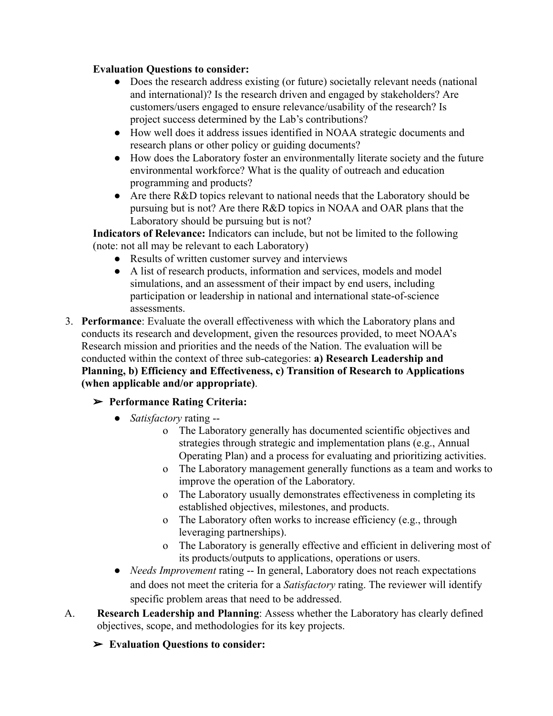### **Evaluation Questions to consider:**

- Does the research address existing (or future) societally relevant needs (national and international)? Is the research driven and engaged by stakeholders? Are customers/users engaged to ensure relevance/usability of the research? Is project success determined by the Lab's contributions?
- How well does it address issues identified in NOAA strategic documents and research plans or other policy or guiding documents?
- How does the Laboratory foster an environmentally literate society and the future environmental workforce? What is the quality of outreach and education programming and products?
- Are there R&D topics relevant to national needs that the Laboratory should be pursuing but is not? Are there R&D topics in NOAA and OAR plans that the Laboratory should be pursuing but is not?

**Indicators of Relevance:** Indicators can include, but not be limited to the following (note: not all may be relevant to each Laboratory)

- Results of written customer survey and interviews
- A list of research products, information and services, models and model simulations, and an assessment of their impact by end users, including participation or leadership in national and international state-of-science assessments.
- 3. **Performance**: Evaluate the overall effectiveness with which the Laboratory plans and conducts its research and development, given the resources provided, to meet NOAA's Research mission and priorities and the needs of the Nation. The evaluation will be conducted within the context of three sub-categories: **a) Research Leadership and Planning, b) Efficiency and Effectiveness, c) Transition of Research to Applications (when applicable and/or appropriate)**.

## ➢ **Performance Rating Criteria:**

- *Satisfactory* rating
	- o The Laboratory generally has documented scientific objectives and strategies through strategic and implementation plans (e.g., Annual Operating Plan) and a process for evaluating and prioritizing activities.
	- o The Laboratory management generally functions as a team and works to improve the operation of the Laboratory.
	- o The Laboratory usually demonstrates effectiveness in completing its established objectives, milestones, and products.
	- o The Laboratory often works to increase efficiency (e.g., through leveraging partnerships).
	- o The Laboratory is generally effective and efficient in delivering most of its products/outputs to applications, operations or users.
- *Needs Improvement* rating -- In general, Laboratory does not reach expectations and does not meet the criteria for a *Satisfactory* rating. The reviewer will identify specific problem areas that need to be addressed.
- A. **Research Leadership and Planning**: Assess whether the Laboratory has clearly defined objectives, scope, and methodologies for its key projects.

➢ **Evaluation Questions to consider:**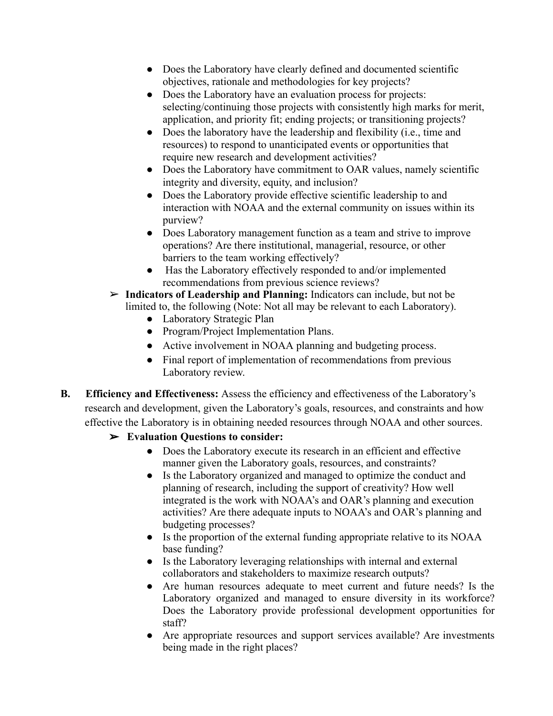- Does the Laboratory have clearly defined and documented scientific objectives, rationale and methodologies for key projects?
- Does the Laboratory have an evaluation process for projects: selecting/continuing those projects with consistently high marks for merit, application, and priority fit; ending projects; or transitioning projects?
- Does the laboratory have the leadership and flexibility (i.e., time and resources) to respond to unanticipated events or opportunities that require new research and development activities?
- Does the Laboratory have commitment to OAR values, namely scientific integrity and diversity, equity, and inclusion?
- Does the Laboratory provide effective scientific leadership to and interaction with NOAA and the external community on issues within its purview?
- Does Laboratory management function as a team and strive to improve operations? Are there institutional, managerial, resource, or other barriers to the team working effectively?
- Has the Laboratory effectively responded to and/or implemented recommendations from previous science reviews?
- ➢ **Indicators of Leadership and Planning:** Indicators can include, but not be limited to, the following (Note: Not all may be relevant to each Laboratory).
	- Laboratory Strategic Plan
	- Program/Project Implementation Plans.
	- Active involvement in NOAA planning and budgeting process.
	- Final report of implementation of recommendations from previous Laboratory review.
- **B. Efficiency and Effectiveness:** Assess the efficiency and effectiveness of the Laboratory's research and development, given the Laboratory's goals, resources, and constraints and how effective the Laboratory is in obtaining needed resources through NOAA and other sources.
	- ➢ **Evaluation Questions to consider:**
		- Does the Laboratory execute its research in an efficient and effective manner given the Laboratory goals, resources, and constraints?
		- Is the Laboratory organized and managed to optimize the conduct and planning of research, including the support of creativity? How well integrated is the work with NOAA's and OAR's planning and execution activities? Are there adequate inputs to NOAA's and OAR's planning and budgeting processes?
		- Is the proportion of the external funding appropriate relative to its NOAA base funding?
		- Is the Laboratory leveraging relationships with internal and external collaborators and stakeholders to maximize research outputs?
		- Are human resources adequate to meet current and future needs? Is the Laboratory organized and managed to ensure diversity in its workforce? Does the Laboratory provide professional development opportunities for staff?
		- Are appropriate resources and support services available? Are investments being made in the right places?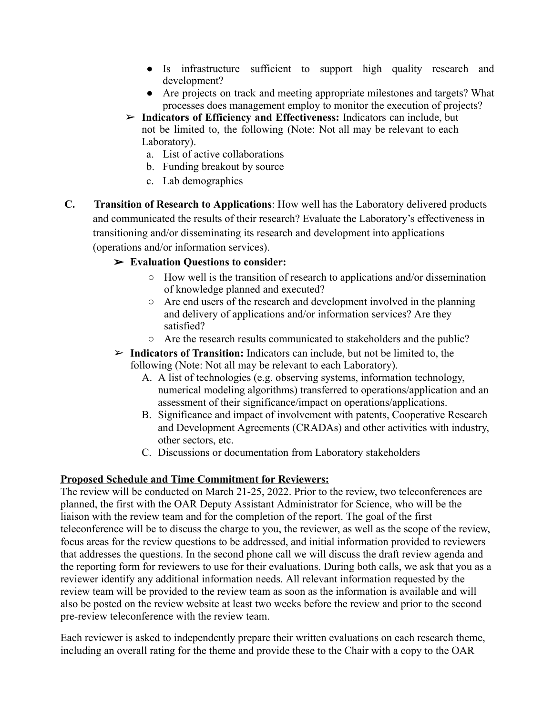- Is infrastructure sufficient to support high quality research and development?
- Are projects on track and meeting appropriate milestones and targets? What processes does management employ to monitor the execution of projects?
- ➢ **Indicators of Efficiency and Effectiveness:** Indicators can include, but not be limited to, the following (Note: Not all may be relevant to each Laboratory).
	- a. List of active collaborations
	- b. Funding breakout by source
	- c. Lab demographics
- **C. Transition of Research to Applications**: How well has the Laboratory delivered products and communicated the results of their research? Evaluate the Laboratory's effectiveness in transitioning and/or disseminating its research and development into applications (operations and/or information services).

#### ➢ **Evaluation Questions to consider:**

- How well is the transition of research to applications and/or dissemination of knowledge planned and executed?
- Are end users of the research and development involved in the planning and delivery of applications and/or information services? Are they satisfied?
- Are the research results communicated to stakeholders and the public?
- ➢ **Indicators of Transition:** Indicators can include, but not be limited to, the following (Note: Not all may be relevant to each Laboratory).
	- A. A list of technologies (e.g. observing systems, information technology, numerical modeling algorithms) transferred to operations/application and an assessment of their significance/impact on operations/applications.
	- B. Significance and impact of involvement with patents, Cooperative Research and Development Agreements (CRADAs) and other activities with industry, other sectors, etc.
	- C. Discussions or documentation from Laboratory stakeholders

#### **Proposed Schedule and Time Commitment for Reviewers:**

The review will be conducted on March 21-25, 2022. Prior to the review, two teleconferences are planned, the first with the OAR Deputy Assistant Administrator for Science, who will be the liaison with the review team and for the completion of the report. The goal of the first teleconference will be to discuss the charge to you, the reviewer, as well as the scope of the review, focus areas for the review questions to be addressed, and initial information provided to reviewers that addresses the questions. In the second phone call we will discuss the draft review agenda and the reporting form for reviewers to use for their evaluations. During both calls, we ask that you as a reviewer identify any additional information needs. All relevant information requested by the review team will be provided to the review team as soon as the information is available and will also be posted on the review website at least two weeks before the review and prior to the second pre-review teleconference with the review team.

Each reviewer is asked to independently prepare their written evaluations on each research theme, including an overall rating for the theme and provide these to the Chair with a copy to the OAR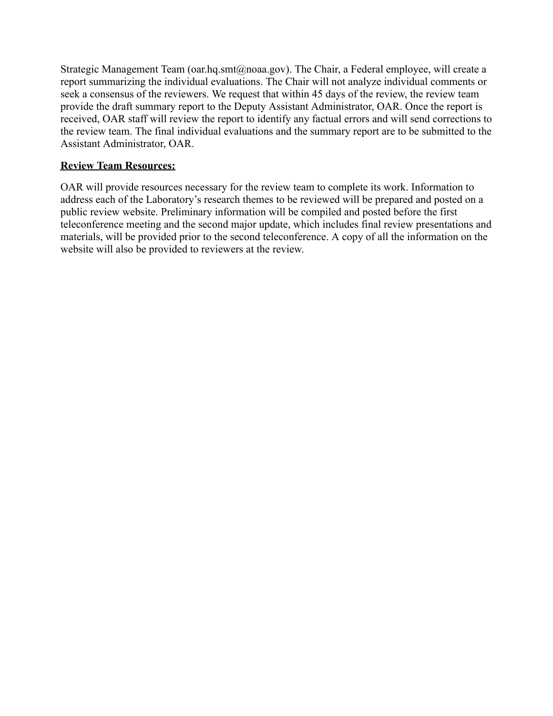Strategic Management Team (oar.hq.smt@noaa.gov). The Chair, a Federal employee, will create a report summarizing the individual evaluations. The Chair will not analyze individual comments or seek a consensus of the reviewers. We request that within 45 days of the review, the review team provide the draft summary report to the Deputy Assistant Administrator, OAR. Once the report is received, OAR staff will review the report to identify any factual errors and will send corrections to the review team. The final individual evaluations and the summary report are to be submitted to the Assistant Administrator, OAR.

### **Review Team Resources:**

OAR will provide resources necessary for the review team to complete its work. Information to address each of the Laboratory's research themes to be reviewed will be prepared and posted on a public review website. Preliminary information will be compiled and posted before the first teleconference meeting and the second major update, which includes final review presentations and materials, will be provided prior to the second teleconference. A copy of all the information on the website will also be provided to reviewers at the review.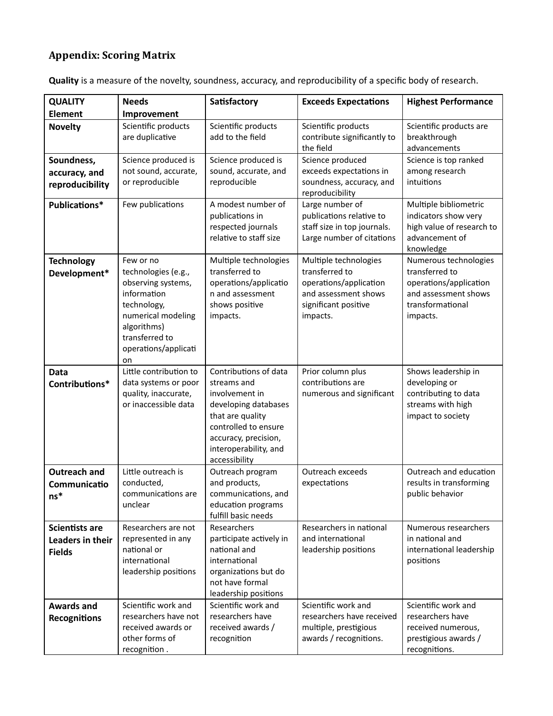# **Appendix: Scoring Matrix**

| Quality is a measure of the novelty, soundness, accuracy, and reproducibility of a specific body of research. |  |  |
|---------------------------------------------------------------------------------------------------------------|--|--|
|                                                                                                               |  |  |

| <b>QUALITY</b>                                             | <b>Needs</b>                                                                                                                                                              | Satisfactory                                                                                                                                                                                 | <b>Exceeds Expectations</b>                                                                                                   | <b>Highest Performance</b>                                                                                                |
|------------------------------------------------------------|---------------------------------------------------------------------------------------------------------------------------------------------------------------------------|----------------------------------------------------------------------------------------------------------------------------------------------------------------------------------------------|-------------------------------------------------------------------------------------------------------------------------------|---------------------------------------------------------------------------------------------------------------------------|
| <b>Element</b>                                             | Improvement                                                                                                                                                               |                                                                                                                                                                                              |                                                                                                                               |                                                                                                                           |
| <b>Novelty</b>                                             | Scientific products<br>are duplicative                                                                                                                                    | Scientific products<br>add to the field                                                                                                                                                      | Scientific products<br>contribute significantly to<br>the field                                                               | Scientific products are<br>breakthrough<br>advancements                                                                   |
| Soundness,<br>accuracy, and<br>reproducibility             | Science produced is<br>not sound, accurate,<br>or reproducible                                                                                                            | Science produced is<br>sound, accurate, and<br>reproducible                                                                                                                                  | Science produced<br>exceeds expectations in<br>soundness, accuracy, and<br>reproducibility                                    | Science is top ranked<br>among research<br>intuitions                                                                     |
| Publications*                                              | Few publications                                                                                                                                                          | A modest number of<br>publications in<br>respected journals<br>relative to staff size                                                                                                        | Large number of<br>publications relative to<br>staff size in top journals.<br>Large number of citations                       | Multiple bibliometric<br>indicators show very<br>high value of research to<br>advancement of<br>knowledge                 |
| <b>Technology</b><br>Development*                          | Few or no<br>technologies (e.g.,<br>observing systems,<br>information<br>technology,<br>numerical modeling<br>algorithms)<br>transferred to<br>operations/applicati<br>on | Multiple technologies<br>transferred to<br>operations/applicatio<br>n and assessment<br>shows positive<br>impacts.                                                                           | Multiple technologies<br>transferred to<br>operations/application<br>and assessment shows<br>significant positive<br>impacts. | Numerous technologies<br>transferred to<br>operations/application<br>and assessment shows<br>transformational<br>impacts. |
| Data<br>Contributions*                                     | Little contribution to<br>data systems or poor<br>quality, inaccurate,<br>or inaccessible data                                                                            | Contributions of data<br>streams and<br>involvement in<br>developing databases<br>that are quality<br>controlled to ensure<br>accuracy, precision,<br>interoperability, and<br>accessibility | Prior column plus<br>contributions are<br>numerous and significant                                                            | Shows leadership in<br>developing or<br>contributing to data<br>streams with high<br>impact to society                    |
| <b>Outreach and</b><br>Communicatio<br>$\mathsf{ns}^*$     | Little outreach is<br>conducted,<br>communications are<br>unclear                                                                                                         | Outreach program<br>and products,<br>communications, and<br>education programs<br>fulfill basic needs                                                                                        | Outreach exceeds<br>expectations                                                                                              | Outreach and education<br>results in transforming<br>public behavior                                                      |
| <b>Scientists are</b><br>Leaders in their<br><b>Fields</b> | Researchers are not<br>represented in any<br>national or<br>international<br>leadership positions                                                                         | Researchers<br>participate actively in<br>national and<br>international<br>organizations but do<br>not have formal<br>leadership positions                                                   | Researchers in national<br>and international<br>leadership positions                                                          | Numerous researchers<br>in national and<br>international leadership<br>positions                                          |
| <b>Awards and</b><br><b>Recognitions</b>                   | Scientific work and<br>researchers have not<br>received awards or<br>other forms of<br>recognition.                                                                       | Scientific work and<br>researchers have<br>received awards /<br>recognition                                                                                                                  | Scientific work and<br>researchers have received<br>multiple, prestigious<br>awards / recognitions.                           | Scientific work and<br>researchers have<br>received numerous,<br>prestigious awards /<br>recognitions.                    |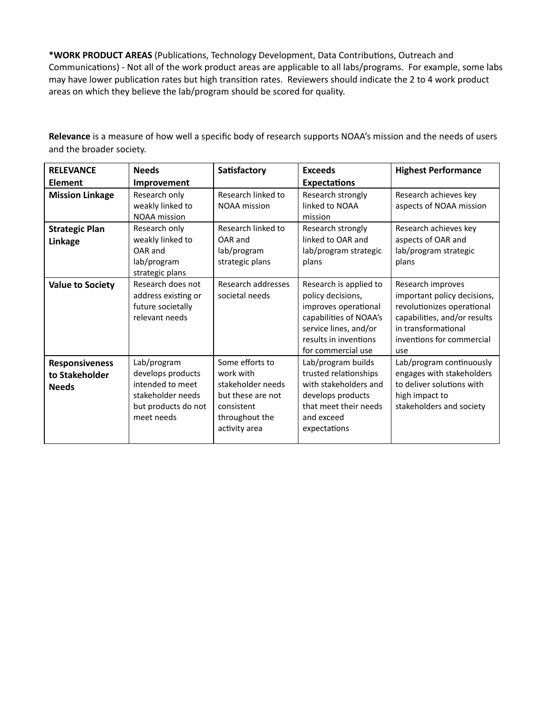\*WORK PRODUCT AREAS (Publications, Technology Development, Data Contributions, Outreach and Communications) - Not all of the work product areas are applicable to all labs/programs. For example, some labs may have lower publication rates but high transition rates. Reviewers should indicate the 2 to 4 work product areas on which they believe the lab/program should be scored for quality.

**Relevance** is a measure of how well a specific body of research supports NOAA's mission and the needs of users and the broader society.

| <b>RELEVANCE</b>                                        | <b>Needs</b>                                                                                                   | Satisfactory                                                                                                            | <b>Exceeds</b>                                                                                                                                                        | <b>Highest Performance</b>                                                                                                                                                |
|---------------------------------------------------------|----------------------------------------------------------------------------------------------------------------|-------------------------------------------------------------------------------------------------------------------------|-----------------------------------------------------------------------------------------------------------------------------------------------------------------------|---------------------------------------------------------------------------------------------------------------------------------------------------------------------------|
| <b>Element</b>                                          | Improvement                                                                                                    |                                                                                                                         | <b>Expectations</b>                                                                                                                                                   |                                                                                                                                                                           |
| <b>Mission Linkage</b>                                  | Research only<br>weakly linked to<br><b>NOAA</b> mission                                                       | Research linked to<br><b>NOAA</b> mission                                                                               | Research strongly<br>linked to NOAA<br>mission                                                                                                                        | Research achieves key<br>aspects of NOAA mission                                                                                                                          |
| <b>Strategic Plan</b><br>Linkage                        | Research only<br>weakly linked to<br>OAR and<br>lab/program<br>strategic plans                                 | Research linked to<br>OAR and<br>lab/program<br>strategic plans                                                         | Research strongly<br>linked to OAR and<br>lab/program strategic<br>plans                                                                                              | Research achieves key<br>aspects of OAR and<br>lab/program strategic<br>plans                                                                                             |
| <b>Value to Society</b>                                 | Research does not<br>address existing or<br>future societally<br>relevant needs                                | Research addresses<br>societal needs                                                                                    | Research is applied to<br>policy decisions,<br>improves operational<br>capabilities of NOAA's<br>service lines, and/or<br>results in inventions<br>for commercial use | Research improves<br>important policy decisions,<br>revolutionizes operational<br>capabilities, and/or results<br>in transformational<br>inventions for commercial<br>use |
| <b>Responsiveness</b><br>to Stakeholder<br><b>Needs</b> | Lab/program<br>develops products<br>intended to meet<br>stakeholder needs<br>but products do not<br>meet needs | Some efforts to<br>work with<br>stakeholder needs<br>but these are not<br>consistent<br>throughout the<br>activity area | Lab/program builds<br>trusted relationships<br>with stakeholders and<br>develops products<br>that meet their needs<br>and exceed<br>expectations                      | Lab/program continuously<br>engages with stakeholders<br>to deliver solutions with<br>high impact to<br>stakeholders and society                                          |